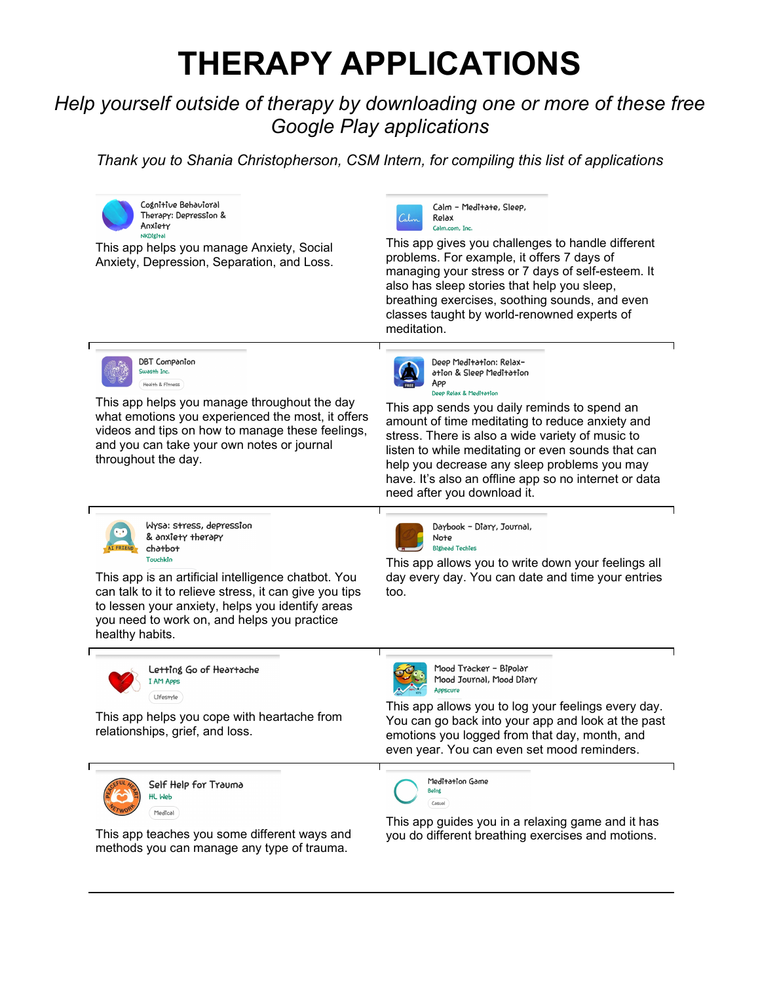## **THERAPY APPLICATIONS**

## *Help yourself outside of therapy by downloading one or more of these free Google Play applications*

*Thank you to Shania Christopherson, CSM Intern, for compiling this list of applications*